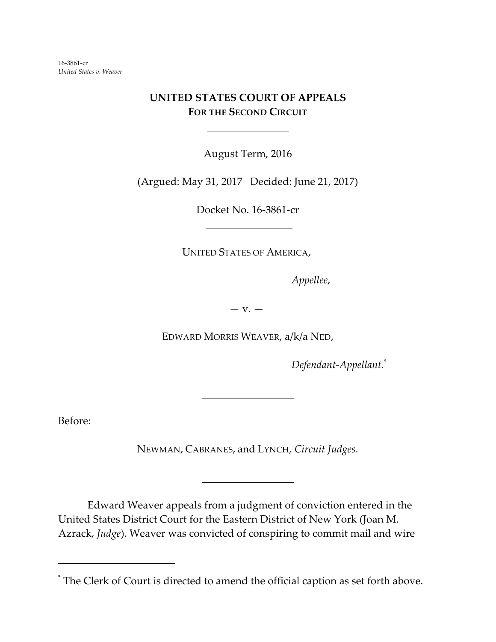16-3861-cr *United States v. Weaver*

## **UNITED STATES COURT OF APPEALS FOR THE SECOND CIRCUIT**

l

August Term, 2016

(Argued: May 31, 2017 Decided: June 21, 2017)

Docket No. 16-3861-cr

UNITED STATES OF AMERICA,

*Appellee*,

*—* v. —

EDWARD MORRIS WEAVER, a/k/a NED,

*Defendant-Appellant.*\*

Before:

NEWMAN, CABRANES, and LYNCH*, Circuit Judges.*

 $\overline{\phantom{a}}$ 

 $\overline{\phantom{a}}$ 

Edward Weaver appeals from a judgment of conviction entered in the United States District Court for the Eastern District of New York (Joan M. Azrack, *Judge*). Weaver was convicted of conspiring to commit mail and wire

<sup>\*</sup> The Clerk of Court is directed to amend the official caption as set forth above.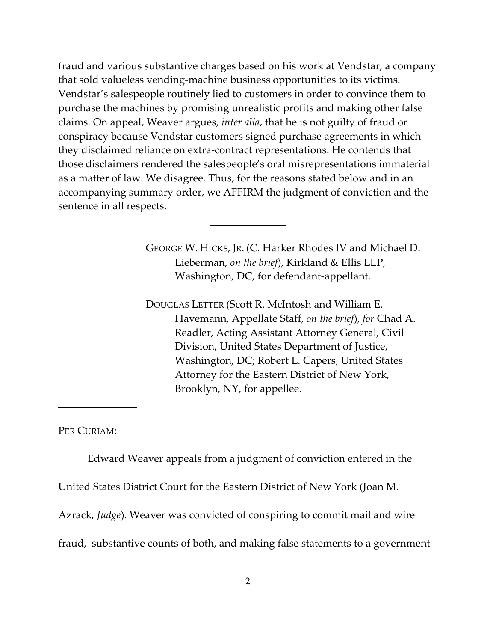fraud and various substantive charges based on his work at Vendstar, a company that sold valueless vending-machine business opportunities to its victims. Vendstar's salespeople routinely lied to customers in order to convince them to purchase the machines by promising unrealistic profits and making other false claims. On appeal, Weaver argues, *inter alia*, that he is not guilty of fraud or conspiracy because Vendstar customers signed purchase agreements in which they disclaimed reliance on extra-contract representations. He contends that those disclaimers rendered the salespeople's oral misrepresentations immaterial as a matter of law. We disagree. Thus, for the reasons stated below and in an accompanying summary order, we AFFIRM the judgment of conviction and the sentence in all respects.

 $\overline{\phantom{a}}$ 

GEORGE W. HICKS, JR. (C. Harker Rhodes IV and Michael D. Lieberman, *on the brief*), Kirkland & Ellis LLP, Washington, DC, for defendant-appellant.

DOUGLAS LETTER (Scott R. McIntosh and William E. Havemann, Appellate Staff, *on the brief*), *for* Chad A. Readler, Acting Assistant Attorney General, Civil Division, United States Department of Justice, Washington, DC; Robert L. Capers, United States Attorney for the Eastern District of New York, Brooklyn, NY, for appellee.

PER CURIAM:

Edward Weaver appeals from a judgment of conviction entered in the

United States District Court for the Eastern District of New York (Joan M.

Azrack, *Judge*). Weaver was convicted of conspiring to commit mail and wire

fraud, substantive counts of both, and making false statements to a government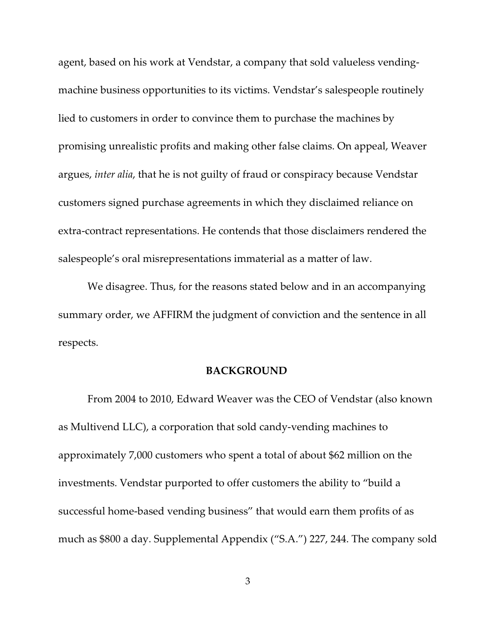agent, based on his work at Vendstar, a company that sold valueless vendingmachine business opportunities to its victims. Vendstar's salespeople routinely lied to customers in order to convince them to purchase the machines by promising unrealistic profits and making other false claims. On appeal, Weaver argues, *inter alia*, that he is not guilty of fraud or conspiracy because Vendstar customers signed purchase agreements in which they disclaimed reliance on extra-contract representations. He contends that those disclaimers rendered the salespeople's oral misrepresentations immaterial as a matter of law.

We disagree. Thus, for the reasons stated below and in an accompanying summary order, we AFFIRM the judgment of conviction and the sentence in all respects.

## **BACKGROUND**

From 2004 to 2010, Edward Weaver was the CEO of Vendstar (also known as Multivend LLC), a corporation that sold candy-vending machines to approximately 7,000 customers who spent a total of about \$62 million on the investments. Vendstar purported to offer customers the ability to "build a successful home-based vending business" that would earn them profits of as much as \$800 a day. Supplemental Appendix ("S.A.") 227, 244. The company sold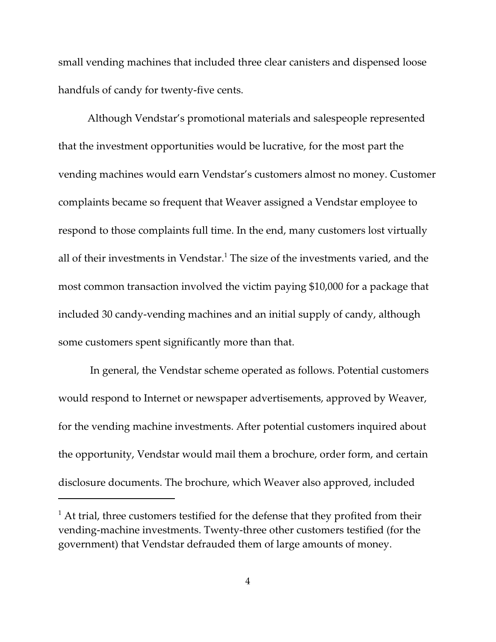small vending machines that included three clear canisters and dispensed loose handfuls of candy for twenty-five cents.

Although Vendstar's promotional materials and salespeople represented that the investment opportunities would be lucrative, for the most part the vending machines would earn Vendstar's customers almost no money. Customer complaints became so frequent that Weaver assigned a Vendstar employee to respond to those complaints full time. In the end, many customers lost virtually all of their investments in Vendstar.<sup>1</sup> The size of the investments varied, and the most common transaction involved the victim paying \$10,000 for a package that included 30 candy-vending machines and an initial supply of candy, although some customers spent significantly more than that.

 In general, the Vendstar scheme operated as follows. Potential customers would respond to Internet or newspaper advertisements, approved by Weaver, for the vending machine investments. After potential customers inquired about the opportunity, Vendstar would mail them a brochure, order form, and certain disclosure documents. The brochure, which Weaver also approved, included

 $1$  At trial, three customers testified for the defense that they profited from their vending-machine investments. Twenty-three other customers testified (for the government) that Vendstar defrauded them of large amounts of money.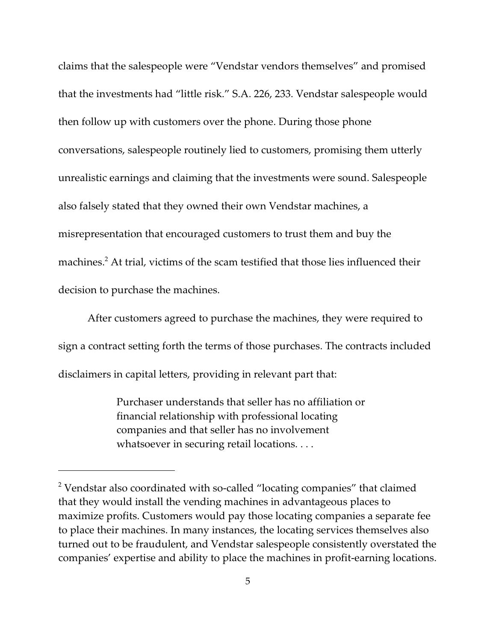claims that the salespeople were "Vendstar vendors themselves" and promised that the investments had "little risk." S.A. 226, 233. Vendstar salespeople would then follow up with customers over the phone. During those phone conversations, salespeople routinely lied to customers, promising them utterly unrealistic earnings and claiming that the investments were sound. Salespeople also falsely stated that they owned their own Vendstar machines, a misrepresentation that encouraged customers to trust them and buy the machines.<sup>2</sup> At trial, victims of the scam testified that those lies influenced their decision to purchase the machines.

After customers agreed to purchase the machines, they were required to sign a contract setting forth the terms of those purchases. The contracts included disclaimers in capital letters, providing in relevant part that:

> Purchaser understands that seller has no affiliation or financial relationship with professional locating companies and that seller has no involvement whatsoever in securing retail locations. . . .

<sup>&</sup>lt;sup>2</sup> Vendstar also coordinated with so-called "locating companies" that claimed that they would install the vending machines in advantageous places to maximize profits. Customers would pay those locating companies a separate fee to place their machines. In many instances, the locating services themselves also turned out to be fraudulent, and Vendstar salespeople consistently overstated the companies' expertise and ability to place the machines in profit-earning locations.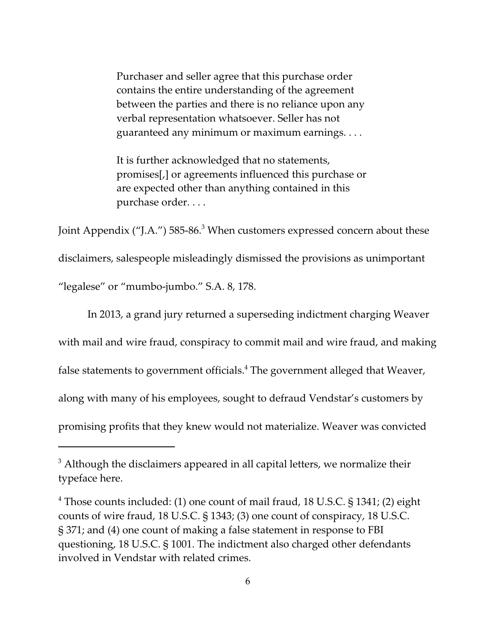Purchaser and seller agree that this purchase order contains the entire understanding of the agreement between the parties and there is no reliance upon any verbal representation whatsoever. Seller has not guaranteed any minimum or maximum earnings. . . .

It is further acknowledged that no statements, promises[,] or agreements influenced this purchase or are expected other than anything contained in this purchase order. . . .

Joint Appendix ("J.A.") 585-86.<sup>3</sup> When customers expressed concern about these

disclaimers, salespeople misleadingly dismissed the provisions as unimportant

"legalese" or "mumbo-jumbo." S.A. 8, 178.

In 2013, a grand jury returned a superseding indictment charging Weaver with mail and wire fraud, conspiracy to commit mail and wire fraud, and making false statements to government officials. $\rm ^4$  The government alleged that Weaver, along with many of his employees, sought to defraud Vendstar's customers by promising profits that they knew would not materialize. Weaver was convicted

 $3$  Although the disclaimers appeared in all capital letters, we normalize their typeface here.

<sup>&</sup>lt;sup>4</sup> Those counts included: (1) one count of mail fraud, 18 U.S.C. § 1341; (2) eight counts of wire fraud, 18 U.S.C. § 1343; (3) one count of conspiracy, 18 U.S.C. § 371; and (4) one count of making a false statement in response to FBI questioning, 18 U.S.C. § 1001. The indictment also charged other defendants involved in Vendstar with related crimes.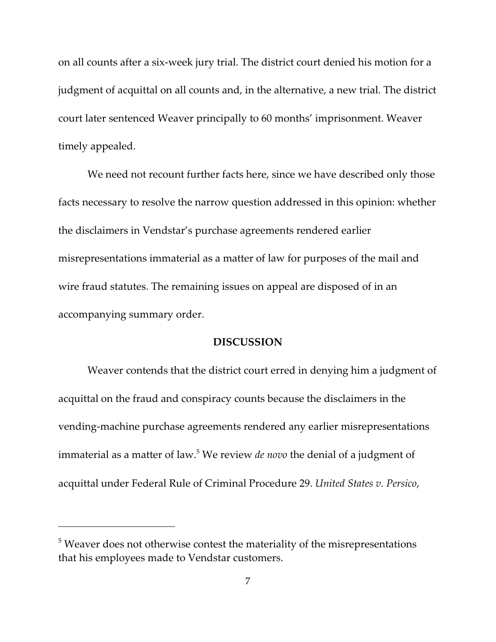on all counts after a six-week jury trial. The district court denied his motion for a judgment of acquittal on all counts and, in the alternative, a new trial. The district court later sentenced Weaver principally to 60 months' imprisonment. Weaver timely appealed.

We need not recount further facts here, since we have described only those facts necessary to resolve the narrow question addressed in this opinion: whether the disclaimers in Vendstar's purchase agreements rendered earlier misrepresentations immaterial as a matter of law for purposes of the mail and wire fraud statutes. The remaining issues on appeal are disposed of in an accompanying summary order.

## **DISCUSSION**

Weaver contends that the district court erred in denying him a judgment of acquittal on the fraud and conspiracy counts because the disclaimers in the vending-machine purchase agreements rendered any earlier misrepresentations immaterial as a matter of law.<sup>5</sup> We review *de novo* the denial of a judgment of acquittal under Federal Rule of Criminal Procedure 29. *United States v. Persico*,

 $5$  Weaver does not otherwise contest the materiality of the misrepresentations that his employees made to Vendstar customers.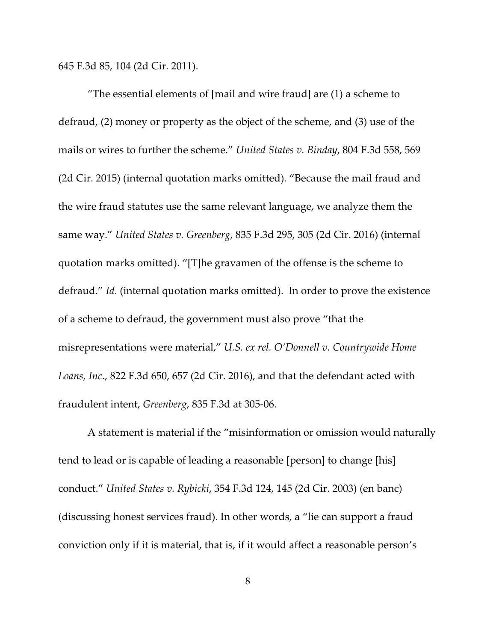645 F.3d 85, 104 (2d Cir. 2011).

"The essential elements of [mail and wire fraud] are (1) a scheme to defraud, (2) money or property as the object of the scheme, and (3) use of the mails or wires to further the scheme." *United States v. Binday*, 804 F.3d 558, 569 (2d Cir. 2015) (internal quotation marks omitted). "Because the mail fraud and the wire fraud statutes use the same relevant language, we analyze them the same way." *United States v. Greenberg*, 835 F.3d 295, 305 (2d Cir. 2016) (internal quotation marks omitted). "[T]he gravamen of the offense is the scheme to defraud." *Id.* (internal quotation marks omitted). In order to prove the existence of a scheme to defraud, the government must also prove "that the misrepresentations were material," *U.S. ex rel. O'Donnell v. Countrywide Home Loans, Inc*., 822 F.3d 650, 657 (2d Cir. 2016), and that the defendant acted with fraudulent intent, *Greenberg*, 835 F.3d at 305-06.

A statement is material if the "misinformation or omission would naturally tend to lead or is capable of leading a reasonable [person] to change [his] conduct." *United States v. Rybicki*, 354 F.3d 124, 145 (2d Cir. 2003) (en banc) (discussing honest services fraud). In other words, a "lie can support a fraud conviction only if it is material, that is, if it would affect a reasonable person's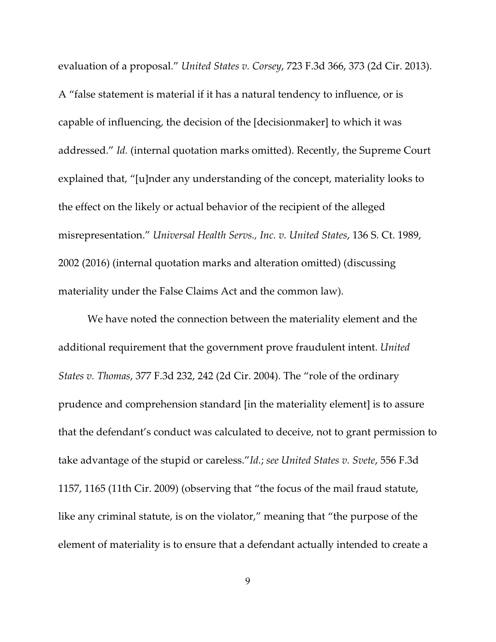evaluation of a proposal." *United States v. Corsey*, 723 F.3d 366, 373 (2d Cir. 2013). A "false statement is material if it has a natural tendency to influence, or is capable of influencing, the decision of the [decisionmaker] to which it was addressed." *Id.* (internal quotation marks omitted). Recently, the Supreme Court explained that, "[u]nder any understanding of the concept, materiality looks to the effect on the likely or actual behavior of the recipient of the alleged misrepresentation." *Universal Health Servs., Inc. v. United States*, 136 S. Ct. 1989, 2002 (2016) (internal quotation marks and alteration omitted) (discussing materiality under the False Claims Act and the common law).

We have noted the connection between the materiality element and the additional requirement that the government prove fraudulent intent. *United States v. Thomas*, 377 F.3d 232, 242 (2d Cir. 2004). The "role of the ordinary prudence and comprehension standard [in the materiality element] is to assure that the defendant's conduct was calculated to deceive, not to grant permission to take advantage of the stupid or careless."*Id.*; *see United States v. Svete*, 556 F.3d 1157, 1165 (11th Cir. 2009) (observing that "the focus of the mail fraud statute, like any criminal statute, is on the violator," meaning that "the purpose of the element of materiality is to ensure that a defendant actually intended to create a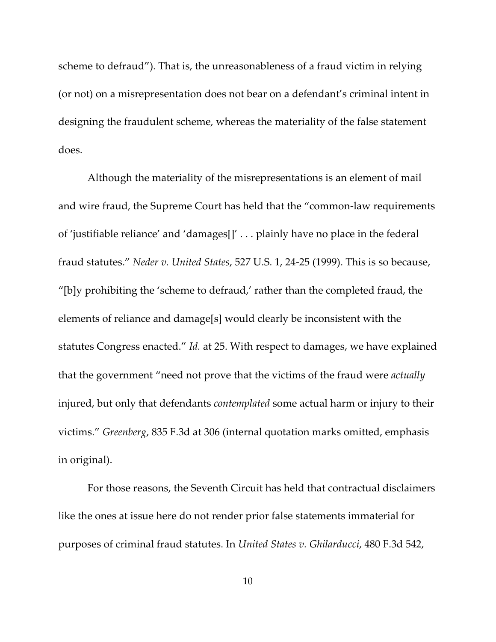scheme to defraud"). That is, the unreasonableness of a fraud victim in relying (or not) on a misrepresentation does not bear on a defendant's criminal intent in designing the fraudulent scheme, whereas the materiality of the false statement does.

Although the materiality of the misrepresentations is an element of mail and wire fraud, the Supreme Court has held that the "common-law requirements of 'justifiable reliance' and 'damages[]' . . . plainly have no place in the federal fraud statutes." *Neder v. United States*, 527 U.S. 1, 24-25 (1999). This is so because, "[b]y prohibiting the 'scheme to defraud,' rather than the completed fraud, the elements of reliance and damage[s] would clearly be inconsistent with the statutes Congress enacted." *Id.* at 25. With respect to damages, we have explained that the government "need not prove that the victims of the fraud were *actually* injured, but only that defendants *contemplated* some actual harm or injury to their victims." *Greenberg*, 835 F.3d at 306 (internal quotation marks omitted, emphasis in original).

For those reasons, the Seventh Circuit has held that contractual disclaimers like the ones at issue here do not render prior false statements immaterial for purposes of criminal fraud statutes. In *United States v. Ghilarducci*, 480 F.3d 542,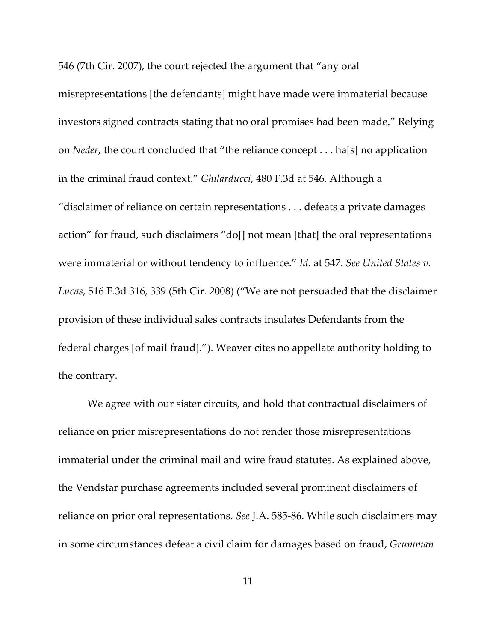546 (7th Cir. 2007), the court rejected the argument that "any oral

misrepresentations [the defendants] might have made were immaterial because investors signed contracts stating that no oral promises had been made." Relying on *Neder*, the court concluded that "the reliance concept . . . ha[s] no application in the criminal fraud context." *Ghilarducci*, 480 F.3d at 546. Although a "disclaimer of reliance on certain representations . . . defeats a private damages action" for fraud, such disclaimers "do[] not mean [that] the oral representations were immaterial or without tendency to influence." *Id.* at 547. *See United States v. Lucas*, 516 F.3d 316, 339 (5th Cir. 2008) ("We are not persuaded that the disclaimer provision of these individual sales contracts insulates Defendants from the federal charges [of mail fraud]."). Weaver cites no appellate authority holding to the contrary.

We agree with our sister circuits, and hold that contractual disclaimers of reliance on prior misrepresentations do not render those misrepresentations immaterial under the criminal mail and wire fraud statutes. As explained above, the Vendstar purchase agreements included several prominent disclaimers of reliance on prior oral representations. *See* J.A. 585-86. While such disclaimers may in some circumstances defeat a civil claim for damages based on fraud, *Grumman*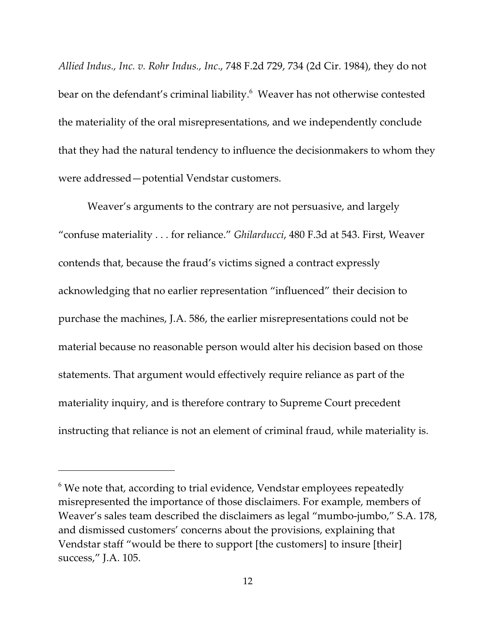*Allied Indus., Inc. v. Rohr Indus., Inc*., 748 F.2d 729, 734 (2d Cir. 1984), they do not bear on the defendant's criminal liability.<sup>6</sup> Weaver has not otherwise contested the materiality of the oral misrepresentations, and we independently conclude that they had the natural tendency to influence the decisionmakers to whom they were addressed—potential Vendstar customers.

Weaver's arguments to the contrary are not persuasive, and largely "confuse materiality . . . for reliance." *Ghilarducci*, 480 F.3d at 543. First, Weaver contends that, because the fraud's victims signed a contract expressly acknowledging that no earlier representation "influenced" their decision to purchase the machines, J.A. 586, the earlier misrepresentations could not be material because no reasonable person would alter his decision based on those statements. That argument would effectively require reliance as part of the materiality inquiry, and is therefore contrary to Supreme Court precedent instructing that reliance is not an element of criminal fraud, while materiality is.

 $6$  We note that, according to trial evidence, Vendstar employees repeatedly misrepresented the importance of those disclaimers. For example, members of Weaver's sales team described the disclaimers as legal "mumbo-jumbo," S.A. 178, and dismissed customers' concerns about the provisions, explaining that Vendstar staff "would be there to support [the customers] to insure [their] success," J.A. 105.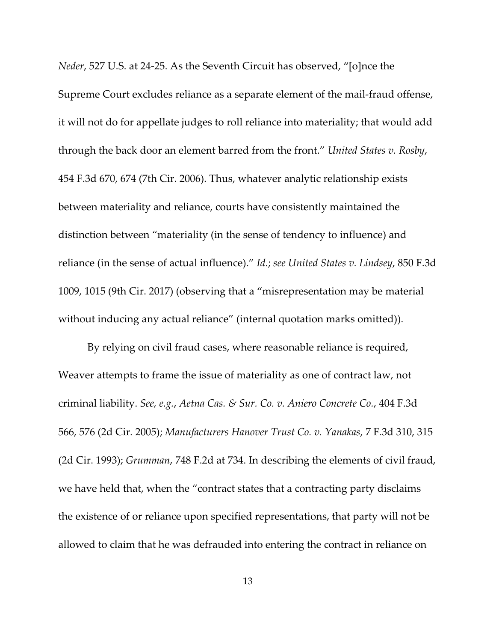*Neder*, 527 U.S. at 24-25. As the Seventh Circuit has observed, "[o]nce the Supreme Court excludes reliance as a separate element of the mail-fraud offense, it will not do for appellate judges to roll reliance into materiality; that would add through the back door an element barred from the front." *United States v. Rosby*, 454 F.3d 670, 674 (7th Cir. 2006). Thus, whatever analytic relationship exists between materiality and reliance, courts have consistently maintained the distinction between "materiality (in the sense of tendency to influence) and reliance (in the sense of actual influence)." *Id.*; *see United States v. Lindsey*, 850 F.3d 1009, 1015 (9th Cir. 2017) (observing that a "misrepresentation may be material without inducing any actual reliance" (internal quotation marks omitted)).

By relying on civil fraud cases, where reasonable reliance is required, Weaver attempts to frame the issue of materiality as one of contract law, not criminal liability. *See, e.g.*, *Aetna Cas. & Sur. Co. v. Aniero Concrete Co.*, 404 F.3d 566, 576 (2d Cir. 2005); *Manufacturers Hanover Trust Co. v. Yanakas*, 7 F.3d 310, 315 (2d Cir. 1993); *Grumman*, 748 F.2d at 734. In describing the elements of civil fraud, we have held that, when the "contract states that a contracting party disclaims the existence of or reliance upon specified representations, that party will not be allowed to claim that he was defrauded into entering the contract in reliance on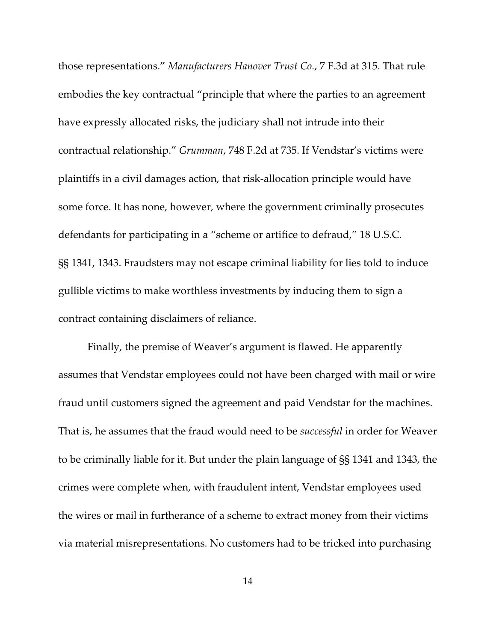those representations." *Manufacturers Hanover Trust Co.*, 7 F.3d at 315. That rule embodies the key contractual "principle that where the parties to an agreement have expressly allocated risks, the judiciary shall not intrude into their contractual relationship." *Grumman*, 748 F.2d at 735. If Vendstar's victims were plaintiffs in a civil damages action, that risk-allocation principle would have some force. It has none, however, where the government criminally prosecutes defendants for participating in a "scheme or artifice to defraud," 18 U.S.C. §§ 1341, 1343. Fraudsters may not escape criminal liability for lies told to induce gullible victims to make worthless investments by inducing them to sign a contract containing disclaimers of reliance.

Finally, the premise of Weaver's argument is flawed. He apparently assumes that Vendstar employees could not have been charged with mail or wire fraud until customers signed the agreement and paid Vendstar for the machines. That is, he assumes that the fraud would need to be *successful* in order for Weaver to be criminally liable for it. But under the plain language of §§ 1341 and 1343, the crimes were complete when, with fraudulent intent, Vendstar employees used the wires or mail in furtherance of a scheme to extract money from their victims via material misrepresentations. No customers had to be tricked into purchasing